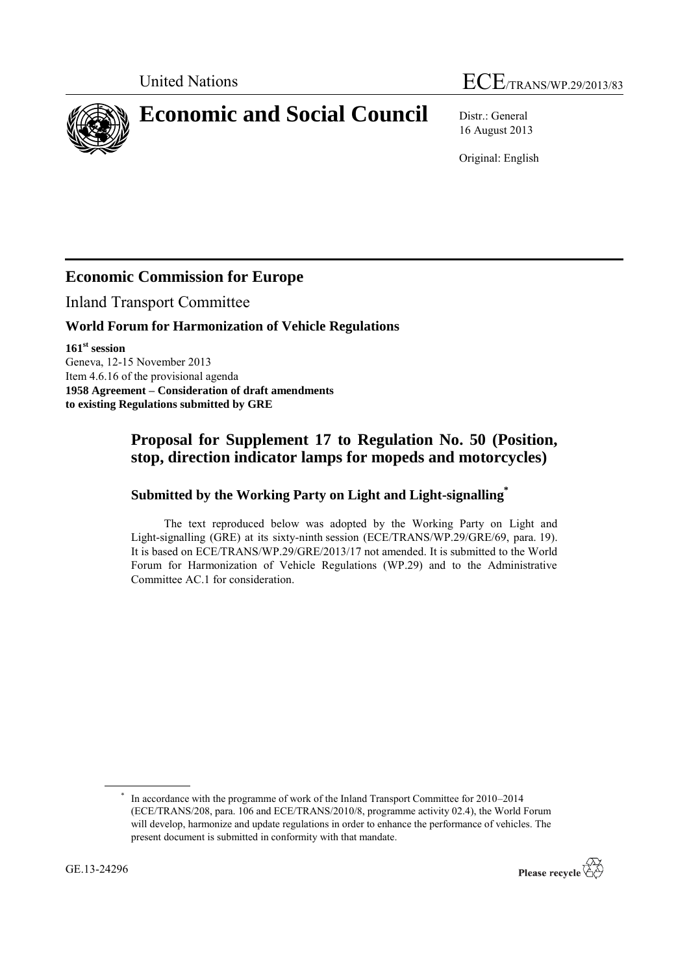# United Nations ECE/TRANS/WP.29/2013/83

**Economic and Social Council** Distr.: General

16 August 2013

Original: English

## **Economic Commission for Europe**

Inland Transport Committee

#### **World Forum for Harmonization of Vehicle Regulations**

**161 st session** Geneva, 12-15 November 2013 Item 4.6.16 of the provisional agenda **1958 Agreement – Consideration of draft amendments to existing Regulations submitted by GRE**

### **Proposal for Supplement 17 to Regulation No. 50 (Position, stop, direction indicator lamps for mopeds and motorcycles)**

#### **Submitted by the Working Party on Light and Light-signalling\***

The text reproduced below was adopted by the Working Party on Light and Light-signalling (GRE) at its sixty-ninth session (ECE/TRANS/WP.29/GRE/69, para. 19). It is based on ECE/TRANS/WP.29/GRE/2013/17 not amended. It is submitted to the World Forum for Harmonization of Vehicle Regulations (WP.29) and to the Administrative Committee AC.1 for consideration.

<sup>\*</sup> In accordance with the programme of work of the Inland Transport Committee for 2010–2014 (ECE/TRANS/208, para. 106 and ECE/TRANS/2010/8, programme activity 02.4), the World Forum will develop, harmonize and update regulations in order to enhance the performance of vehicles. The present document is submitted in conformity with that mandate.